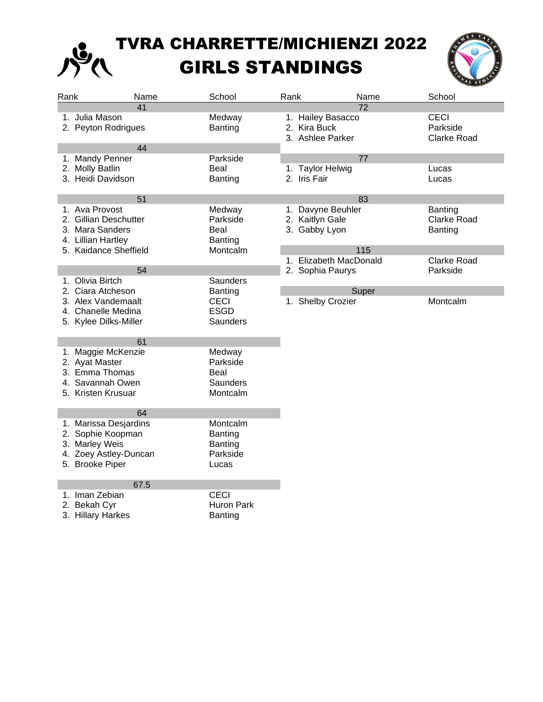## TVRA CHARRETTE/MICHIENZI 2022 GIRLS STANDINGS



| Rank         | Name                                                                                                           | School                                              | Rank |                                                       | Name  | School                                        |
|--------------|----------------------------------------------------------------------------------------------------------------|-----------------------------------------------------|------|-------------------------------------------------------|-------|-----------------------------------------------|
|              | 41<br>1. Julia Mason<br>2. Peyton Rodrigues                                                                    | Medway<br>Banting                                   |      | 1. Hailey Basacco<br>2. Kira Buck<br>3. Ashlee Parker | 72    | <b>CECI</b><br>Parkside<br><b>Clarke Road</b> |
|              | 44                                                                                                             |                                                     |      |                                                       |       |                                               |
|              | 1. Mandy Penner<br>2. Molly Batlin<br>3. Heidi Davidson                                                        | Parkside<br>Beal<br>Banting                         |      | 1. Taylor Helwig<br>2. Iris Fair                      | 77    | Lucas<br>Lucas                                |
|              | 51                                                                                                             |                                                     |      |                                                       | 83    |                                               |
|              | 1. Ava Provost<br>2. Gillian Deschutter<br>3. Mara Sanders<br>4. Lillian Hartley                               | Medway<br>Parkside<br>Beal<br>Banting               |      | 1. Davyne Beuhler<br>2. Kaitlyn Gale<br>3. Gabby Lyon |       | Banting<br>Clarke Road<br>Banting             |
|              | 5. Kaidance Sheffield                                                                                          | Montcalm                                            |      |                                                       | 115   |                                               |
|              | 54<br>1. Olivia Birtch                                                                                         | Saunders                                            |      | 1. Elizabeth MacDonald<br>2. Sophia Paurys            |       | <b>Clarke Road</b><br>Parkside                |
|              | 2. Ciara Atcheson<br>3. Alex Vandemaalt<br>4. Chanelle Medina<br>5. Kylee Dilks-Miller                         | Banting<br><b>CECI</b><br><b>ESGD</b><br>Saunders   |      | 1. Shelby Crozier                                     | Super | Montcalm                                      |
|              | 61<br>1. Maggie McKenzie<br>2. Ayat Master<br>3. Emma Thomas<br>4. Savannah Owen<br>5. Kristen Krusuar         | Medway<br>Parkside<br>Beal<br>Saunders<br>Montcalm  |      |                                                       |       |                                               |
|              | 64<br>1. Marissa Desjardins<br>2. Sophie Koopman<br>3. Marley Weis<br>4. Zoey Astley-Duncan<br>5. Brooke Piper | Montcalm<br>Banting<br>Banting<br>Parkside<br>Lucas |      |                                                       |       |                                               |
| 2. Bekah Cyr | 67.5<br>1. Iman Zebian<br>3. Hillary Harkes                                                                    | <b>CECI</b><br>Huron Park<br>Banting                |      |                                                       |       |                                               |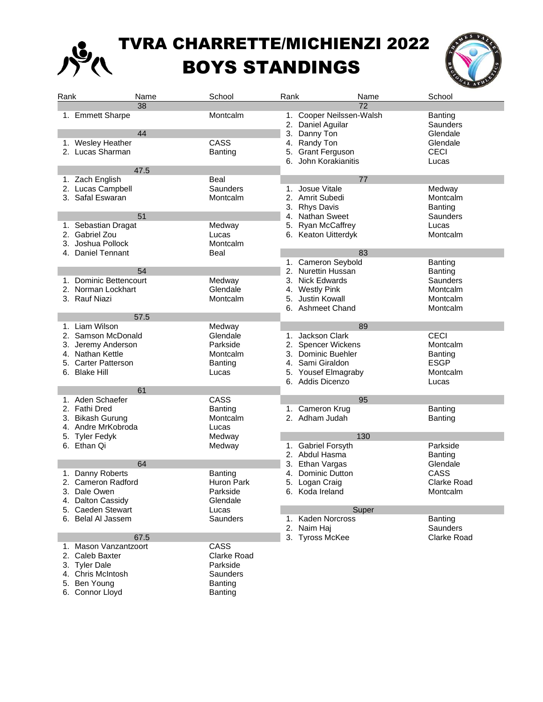

## TVRA CHARRETTE/MICHIENZI 2022 BOYS STANDINGS



| Rank | Name                   | School         | Rank                        | School<br>Name     |  |  |  |
|------|------------------------|----------------|-----------------------------|--------------------|--|--|--|
|      | 38                     |                |                             | 72                 |  |  |  |
|      | 1. Emmett Sharpe       | Montcalm       | 1. Cooper Neilssen-Walsh    | Banting            |  |  |  |
|      |                        |                | 2. Daniel Aguilar           | Saunders           |  |  |  |
|      | 44                     |                | 3. Danny Ton                | Glendale           |  |  |  |
|      | 1. Wesley Heather      | CASS           | 4. Randy Ton                | Glendale           |  |  |  |
|      | 2. Lucas Sharman       | Banting        | <b>Grant Ferguson</b><br>5. | <b>CECI</b>        |  |  |  |
|      |                        |                | 6. John Korakianitis        | Lucas              |  |  |  |
|      | 47.5                   |                |                             |                    |  |  |  |
|      | 1. Zach English        | Beal           |                             | 77                 |  |  |  |
|      | 2. Lucas Campbell      | Saunders       | Josue Vitale<br>1.          | Medway             |  |  |  |
|      |                        |                |                             |                    |  |  |  |
|      | 3. Safal Eswaran       | Montcalm       | 2.<br>Amrit Subedi          | Montcalm           |  |  |  |
|      |                        |                | 3.<br><b>Rhys Davis</b>     | Banting            |  |  |  |
|      | 51                     |                | <b>Nathan Sweet</b><br>4.   | Saunders           |  |  |  |
|      | 1. Sebastian Dragat    | Medway         | 5. Ryan McCaffrey           | Lucas              |  |  |  |
|      | 2. Gabriel Zou         | Lucas          | 6. Keaton Uitterdyk         | Montcalm           |  |  |  |
|      | 3. Joshua Pollock      | Montcalm       |                             |                    |  |  |  |
|      | 4. Daniel Tennant      | Beal           |                             | 83                 |  |  |  |
|      |                        |                | 1. Cameron Seybold          | Banting            |  |  |  |
|      | 54                     |                | 2. Nurettin Hussan          | Banting            |  |  |  |
|      | 1. Dominic Bettencourt | Medway         | 3. Nick Edwards             | <b>Saunders</b>    |  |  |  |
|      | 2. Norman Lockhart     | Glendale       | 4. Westly Pink              | Montcalm           |  |  |  |
|      | 3. Rauf Niazi          | Montcalm       | Justin Kowall<br>5.         | Montcalm           |  |  |  |
|      |                        |                | 6. Ashmeet Chand            | Montcalm           |  |  |  |
|      | 57.5                   |                |                             |                    |  |  |  |
|      | 1. Liam Wilson         | Medway         |                             | 89                 |  |  |  |
|      | 2. Samson McDonald     | Glendale       | Jackson Clark<br>1.         | <b>CECI</b>        |  |  |  |
|      |                        | Parkside       | 2. Spencer Wickens          | Montcalm           |  |  |  |
|      | 3. Jeremy Anderson     |                |                             |                    |  |  |  |
|      | 4. Nathan Kettle       | Montcalm       | 3. Dominic Buehler          | Banting            |  |  |  |
|      | 5. Carter Patterson    | <b>Banting</b> | 4. Sami Giraldon            | <b>ESGP</b>        |  |  |  |
|      | 6. Blake Hill          | Lucas          | 5. Yousef Elmagraby         | Montcalm           |  |  |  |
|      |                        |                | 6. Addis Dicenzo            | Lucas              |  |  |  |
|      | 61                     |                |                             |                    |  |  |  |
|      | 1. Aden Schaefer       | CASS           | 95                          |                    |  |  |  |
|      | 2. Fathi Dred          | Banting        | Cameron Krug<br>1.          | Banting            |  |  |  |
|      | 3. Bikash Gurung       | Montcalm       | Adham Judah<br>2.           | Banting            |  |  |  |
|      | 4. Andre MrKobroda     | Lucas          |                             |                    |  |  |  |
|      | 5. Tyler Fedyk         | Medway         |                             | 130                |  |  |  |
|      | 6. Ethan Qi            | Medway         | 1. Gabriel Forsyth          | Parkside           |  |  |  |
|      |                        |                | 2. Abdul Hasma              | <b>Banting</b>     |  |  |  |
|      | 64                     |                | 3.<br>Ethan Vargas          | Glendale           |  |  |  |
|      | 1. Danny Roberts       | Banting        | Dominic Dutton<br>4.        | CASS               |  |  |  |
|      | 2. Cameron Radford     | Huron Park     | 5. Logan Craig              | <b>Clarke Road</b> |  |  |  |
|      | 3. Dale Owen           | Parkside       | 6. Koda Ireland             | Montcalm           |  |  |  |
|      | 4. Dalton Cassidy      | Glendale       |                             |                    |  |  |  |
|      | 5. Caeden Stewart      | Lucas          |                             | Super              |  |  |  |
|      | 6. Belal Al Jassem     | Saunders       | 1. Kaden Norcross           | Banting            |  |  |  |
|      |                        |                | 2. Naim Haj                 | Saunders           |  |  |  |
|      | 67.5                   |                | 3. Tyross McKee             | Clarke Road        |  |  |  |
|      | 1. Mason Vanzantzoort  | CASS           |                             |                    |  |  |  |
|      | 2. Caleb Baxter        | Clarke Road    |                             |                    |  |  |  |
|      | 3. Tyler Dale          | Parkside       |                             |                    |  |  |  |
|      |                        |                |                             |                    |  |  |  |
|      | 4. Chris McIntosh      | Saunders       |                             |                    |  |  |  |
|      | 5. Ben Young           | Banting        |                             |                    |  |  |  |

6. Connor Lloyd **Banting**